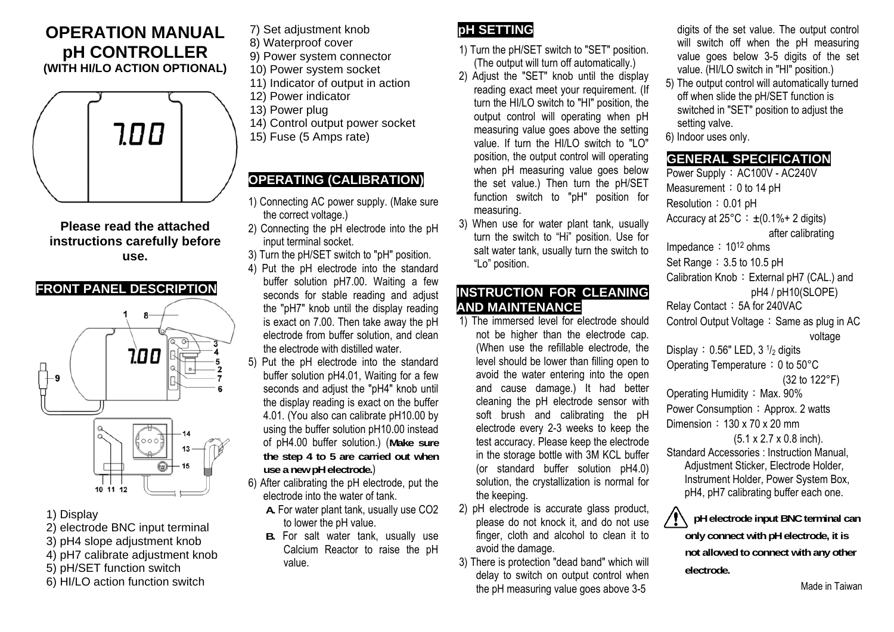### **OPERATION MANUAL pH CONTROLLER (WITH HI/LO ACTION OPTIONAL)**



#### **Please read the attached instructions carefully before use.**

**FRONT PANEL DESCRIPTION** 8-ם ס'ר - 9 10 11 12

- 1) Display
- 2) electrode BNC input terminal
- 3) pH4 slope adjustment knob
- 4) pH7 calibrate adjustment knob
- 5) pH/SET function switch
- 6) HI/LO action function switch
- 7) Set adjustment knob
- 8) Waterproof cover
- 9) Power system connector
- 10) Power system socket
- 11) Indicator of output in action
- 12) Power indicator
- 13) Power plug
- 14) Control output power socket
- 15) Fuse (5 Amps rate)

## **OPERATING (CALIBRATION)**

- 1) Connecting AC power supply. (Make sure the correct voltage.)
- 2) Connecting the pH electrode into the pH input terminal socket.
- 3) Turn the pH/SET switch to "pH" position.
- 4) Put the pH electrode into the standard buffer solution pH7.00. Waiting a few seconds for stable reading and adjust the "pH7" knob until the display reading is exact on 7.00. Then take away the pH electrode from buffer solution, and clean the electrode with distilled water.
- 5) Put the pH electrode into the standard buffer solution pH4.01, Waiting for a few seconds and adjust the "pH4" knob until the display reading is exact on the buffer 4.01. (You also can calibrate pH10.00 by using the buffer solution pH10.00 instead of pH4.00 buffer solution.) (**Make sure the step 4 to 5 are carried out when use a new pH electrode.**)
- 6) After calibrating the pH electrode, put the electrode into the water of tank.
	- **A.** For water plant tank, usually use CO2 to lower the pH value.
	- **B.** For salt water tank, usually use Calcium Reactor to raise the pH value.

### **pH SETTING**

1) Turn the pH/SET switch to "SET" position. (The output will turn off automatically.)

- 2) Adjust the "SET" knob until the display reading exact meet your requirement. (If turn the HI/LO switch to "HI" position, the output control will operating when pH measuring value goes above the setting value. If turn the HI/LO switch to "LO" position, the output control will operating when pH measuring value goes below the set value.) Then turn the pH/SET function switch to "pH" position for measuring.
- 3) When use for water plant tank, usually turn the switch to "Hi" position. Use for salt water tank, usually turn the switch to "Lo" position.

#### **INSTRUCTION FOR CLEANING AND MAINTENANCE**

- 1) The immersed level for electrode should not be higher than the electrode cap. (When use the refillable electrode, the level should be lower than filling open to avoid the water entering into the open and cause damage.) It had better cleaning the pH electrode sensor with soft brush and calibrating the pH electrode every 2-3 weeks to keep the test accuracy. Please keep the electrode in the storage bottle with 3M KCL buffer (or standard buffer solution pH4.0) solution, the crystallization is normal for the keeping.
- 2) pH electrode is accurate glass product, please do not knock it, and do not use finger, cloth and alcohol to clean it to avoid the damage.
- 3) There is protection "dead band" which will delay to switch on output control when the pH measuring value goes above 3-5

digits of the set value. The output control will switch off when the pH measuring value goes below 3-5 digits of the set value. (HI/LO switch in "HI" position.)

5) The output control will automatically turned off when slide the pH/SET function is switched in "SET" position to adjust the setting valve.

6) Indoor uses only.

#### **GENERAL SPECIFICATION**

Power Supply: AC100V - AC240V Measurement:  $0$  to 14 pH Resolution: 0.01 pH Accuracy at  $25^{\circ}$ C:  $\pm$ (0.1%+ 2 digits) after calibrating Impedance: 10<sup>12</sup> ohms Set Range: 3.5 to 10.5 pH Calibration Knob: External pH7 (CAL.) and pH4 / pH10(SLOPE) Relay Contact: 5A for 240VAC Control Output Voltage: Same as plug in AC voltage Display:  $0.56$ " LED,  $3 \frac{1}{2}$  digits Operating Temperature: 0 to 50°C (32 to 122°F) Operating Humidity: Max. 90% Power Consumption: Approx. 2 watts Dimension:130 x 70 x 20 mm (5.1 x 2.7 x 0.8 inch). Standard Accessories : Instruction Manual, Adjustment Sticker, Electrode Holder, Instrument Holder, Power System Box, pH4, pH7 calibrating buffer each one.